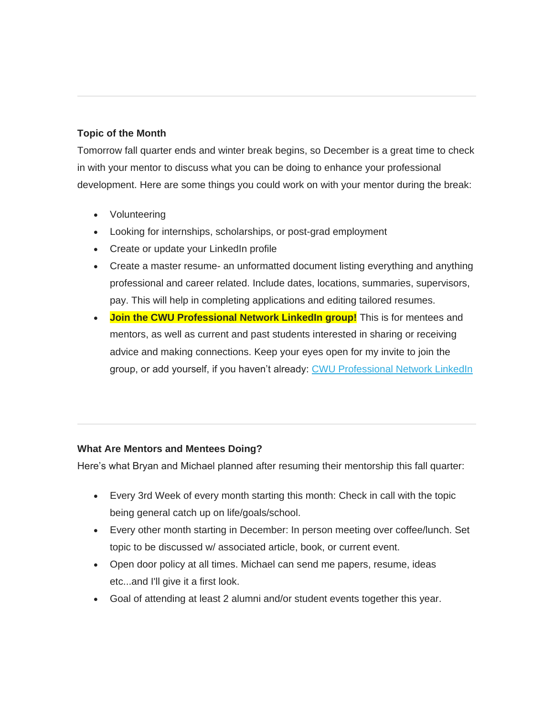## **Topic of the Month**

Tomorrow fall quarter ends and winter break begins, so December is a great time to check in with your mentor to discuss what you can be doing to enhance your professional development. Here are some things you could work on with your mentor during the break:

- Volunteering
- Looking for internships, scholarships, or post-grad employment
- Create or update your LinkedIn profile
- Create a master resume- an unformatted document listing everything and anything professional and career related. Include dates, locations, summaries, supervisors, pay. This will help in completing applications and editing tailored resumes.
- **Join the CWU Professional Network LinkedIn group!** This is for mentees and mentors, as well as current and past students interested in sharing or receiving advice and making connections. Keep your eyes open for my invite to join the group, or add yourself, if you haven't already: [CWU Professional Network LinkedIn](https://www.linkedin.com/groups/13507300)

## **What Are Mentors and Mentees Doing?**

Here's what Bryan and Michael planned after resuming their mentorship this fall quarter:

- Every 3rd Week of every month starting this month: Check in call with the topic being general catch up on life/goals/school.
- Every other month starting in December: In person meeting over coffee/lunch. Set topic to be discussed w/ associated article, book, or current event.
- Open door policy at all times. Michael can send me papers, resume, ideas etc...and I'll give it a first look.
- Goal of attending at least 2 alumni and/or student events together this year.